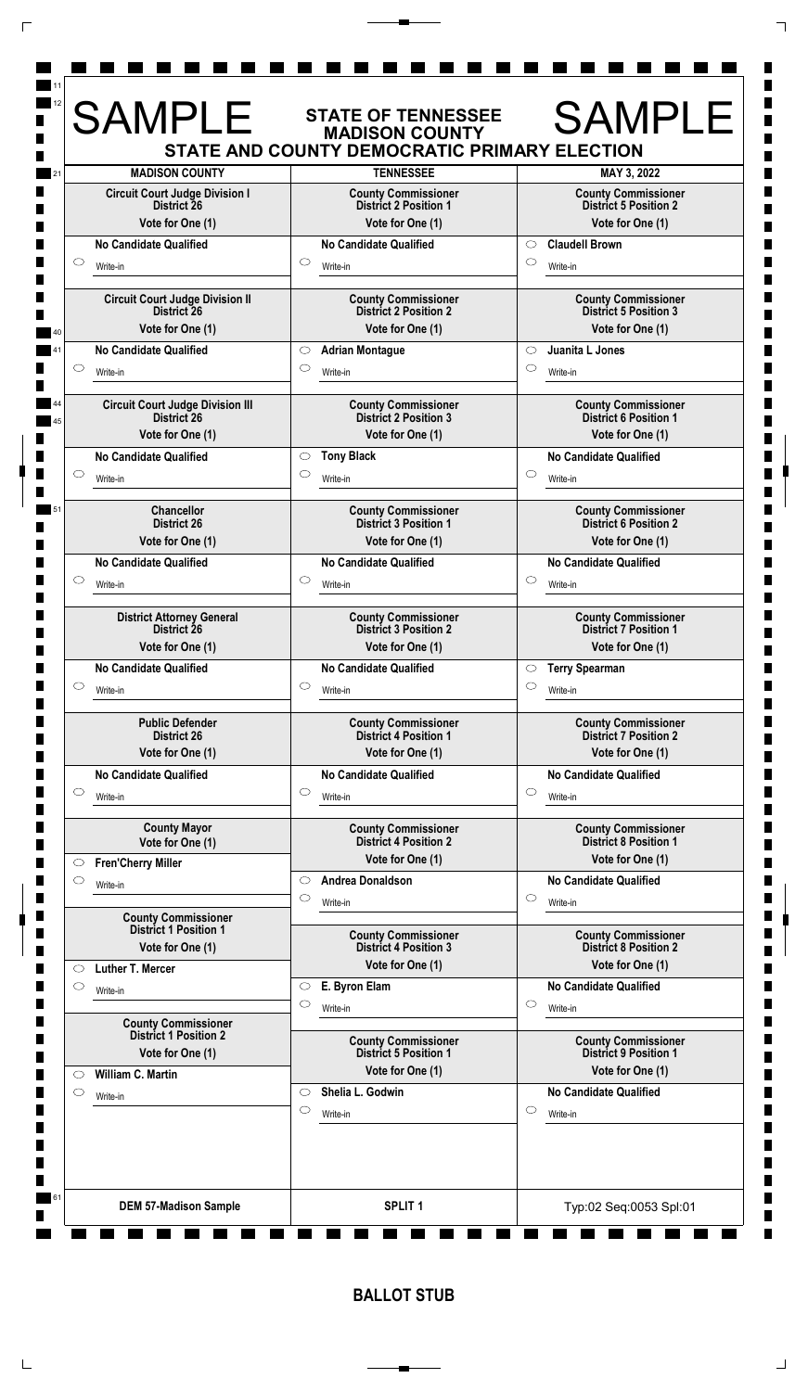|         | <b>MADISON COUNTY</b>                                      |                     | STATE AND COUNTY DEMOCRATIC PRIMARY ELECTION<br><b>TENNESSEE</b> |                                | MAY 3, 2022                                                |
|---------|------------------------------------------------------------|---------------------|------------------------------------------------------------------|--------------------------------|------------------------------------------------------------|
|         | <b>Circuit Court Judge Division I</b>                      |                     | <b>County Commissioner</b>                                       |                                | <b>County Commissioner</b>                                 |
|         | District 26                                                |                     | <b>District 2 Position 1</b>                                     |                                | <b>District 5 Position 2</b>                               |
|         | Vote for One (1)                                           |                     | Vote for One (1)                                                 |                                | Vote for One (1)                                           |
|         | <b>No Candidate Qualified</b>                              |                     | <b>No Candidate Qualified</b>                                    | $\circ$                        | <b>Claudell Brown</b>                                      |
| $\circ$ | Write-in                                                   | $\circ$             | Write-in                                                         | $\circlearrowright$            | Write-in                                                   |
|         | <b>Circuit Court Judge Division II</b>                     |                     | <b>County Commissioner</b>                                       |                                | <b>County Commissioner</b>                                 |
|         | <b>District 26</b>                                         |                     | <b>District 2 Position 2</b>                                     |                                | <b>District 5 Position 3</b>                               |
|         | Vote for One (1)                                           |                     | Vote for One (1)                                                 |                                | Vote for One (1)<br>Juanita L Jones                        |
| $\circ$ | <b>No Candidate Qualified</b>                              | $\circ$<br>$\circ$  | <b>Adrian Montague</b>                                           | $\circlearrowright$<br>$\circ$ |                                                            |
|         | Write-in                                                   |                     | Write-in                                                         |                                | Write-in                                                   |
|         | <b>Circuit Court Judge Division III</b>                    |                     | <b>County Commissioner</b>                                       |                                | <b>County Commissioner</b>                                 |
|         | District 26<br>Vote for One (1)                            |                     | <b>District 2 Position 3</b><br>Vote for One (1)                 |                                | <b>District 6 Position 1</b><br>Vote for One (1)           |
|         | <b>No Candidate Qualified</b>                              | $\circ$             | <b>Tony Black</b>                                                |                                | <b>No Candidate Qualified</b>                              |
| $\circ$ |                                                            | O                   |                                                                  | $\circ$                        |                                                            |
|         | Write-in                                                   |                     | Write-in                                                         |                                | Write-in                                                   |
|         | <b>Chancellor</b>                                          |                     | <b>County Commissioner</b>                                       |                                | <b>County Commissioner</b>                                 |
|         | <b>District 26</b><br>Vote for One (1)                     |                     | <b>District 3 Position 1</b><br>Vote for One (1)                 |                                | <b>District 6 Position 2</b><br>Vote for One (1)           |
|         | <b>No Candidate Qualified</b>                              |                     | <b>No Candidate Qualified</b>                                    |                                | <b>No Candidate Qualified</b>                              |
| $\circ$ |                                                            | $\circlearrowright$ |                                                                  | $\circlearrowright$            |                                                            |
|         | Write-in                                                   |                     | Write-in                                                         |                                | Write-in                                                   |
|         | <b>District Attorney General</b>                           |                     | <b>County Commissioner</b>                                       |                                | <b>County Commissioner</b>                                 |
|         | District 26<br>Vote for One (1)                            |                     | <b>District 3 Position 2</b><br>Vote for One (1)                 |                                | <b>District 7 Position 1</b><br>Vote for One (1)           |
|         | <b>No Candidate Qualified</b>                              |                     | <b>No Candidate Qualified</b>                                    | $\circ$                        | <b>Terry Spearman</b>                                      |
| $\circ$ | Write-in                                                   | $\circ$             | Write-in                                                         | $\circ$                        | Write-in                                                   |
|         |                                                            |                     |                                                                  |                                |                                                            |
|         | <b>Public Defender</b><br><b>District 26</b>               |                     | <b>County Commissioner</b><br><b>District 4 Position 1</b>       |                                | <b>County Commissioner</b><br><b>District 7 Position 2</b> |
|         | Vote for One (1)                                           |                     | Vote for One (1)                                                 |                                | Vote for One (1)                                           |
|         | No Candidate Qualified                                     |                     | <b>No Candidate Qualified</b>                                    |                                | <b>No Candidate Qualified</b>                              |
| $\circ$ | Write-in                                                   | $\circ$             | Write-in                                                         | $\circlearrowright$            | Write-in                                                   |
|         |                                                            |                     |                                                                  |                                |                                                            |
|         | <b>County Mayor</b><br>Vote for One (1)                    |                     | <b>County Commissioner</b><br><b>District 4 Position 2</b>       |                                | <b>County Commissioner</b><br><b>District 8 Position 1</b> |
| $\circ$ | <b>Fren'Cherry Miller</b>                                  |                     | Vote for One (1)                                                 |                                | Vote for One (1)                                           |
| $\circ$ | Write-in                                                   | $\circ$             | <b>Andrea Donaldson</b>                                          |                                | <b>No Candidate Qualified</b>                              |
|         |                                                            | $\circ$             | Write-in                                                         | $\circ$                        | Write-in                                                   |
|         | <b>County Commissioner</b><br><b>District 1 Position 1</b> |                     |                                                                  |                                |                                                            |
|         | Vote for One (1)                                           |                     | <b>County Commissioner</b><br><b>District 4 Position 3</b>       |                                | <b>County Commissioner</b><br><b>District 8 Position 2</b> |
| $\circ$ | <b>Luther T. Mercer</b>                                    |                     | Vote for One (1)                                                 |                                | Vote for One (1)                                           |
| $\circ$ | Write-in                                                   | $\circ$             | E. Byron Elam                                                    |                                | <b>No Candidate Qualified</b>                              |
|         |                                                            | C                   | Write-in                                                         | $\circ$                        | Write-in                                                   |
|         | <b>County Commissioner</b><br><b>District 1 Position 2</b> |                     |                                                                  |                                |                                                            |
|         | Vote for One (1)                                           |                     | <b>County Commissioner</b><br><b>District 5 Position 1</b>       |                                | <b>County Commissioner</b><br><b>District 9 Position 1</b> |
| $\circ$ | William C. Martin                                          |                     | Vote for One (1)                                                 |                                | Vote for One (1)                                           |
| $\circ$ | Write-in                                                   | $\circ$             | Shelia L. Godwin                                                 |                                | <b>No Candidate Qualified</b>                              |
|         |                                                            | O                   | Write-in                                                         | $\circlearrowright$            | Write-in                                                   |
|         |                                                            |                     |                                                                  |                                |                                                            |
|         |                                                            |                     |                                                                  |                                |                                                            |